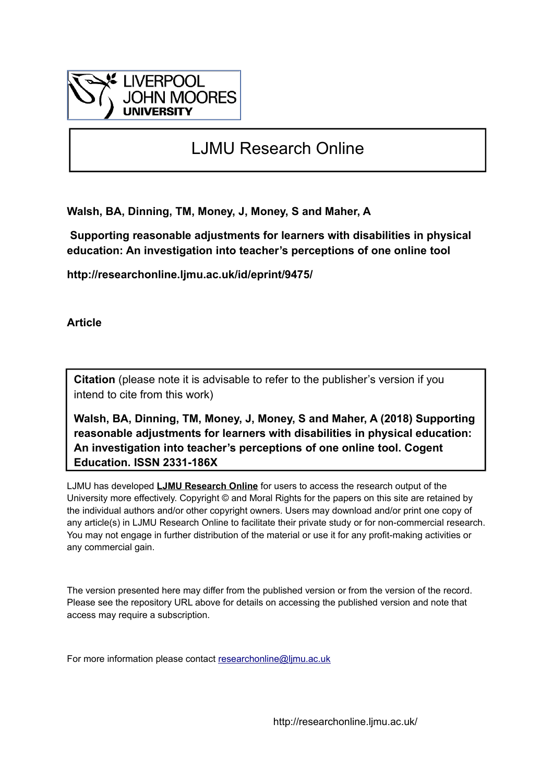

# LJMU Research Online

**Walsh, BA, Dinning, TM, Money, J, Money, S and Maher, A**

 **Supporting reasonable adjustments for learners with disabilities in physical education: An investigation into teacher's perceptions of one online tool**

**http://researchonline.ljmu.ac.uk/id/eprint/9475/**

**Article**

**Citation** (please note it is advisable to refer to the publisher's version if you intend to cite from this work)

**Walsh, BA, Dinning, TM, Money, J, Money, S and Maher, A (2018) Supporting reasonable adjustments for learners with disabilities in physical education: An investigation into teacher's perceptions of one online tool. Cogent Education. ISSN 2331-186X** 

LJMU has developed **[LJMU Research Online](http://researchonline.ljmu.ac.uk/)** for users to access the research output of the University more effectively. Copyright © and Moral Rights for the papers on this site are retained by the individual authors and/or other copyright owners. Users may download and/or print one copy of any article(s) in LJMU Research Online to facilitate their private study or for non-commercial research. You may not engage in further distribution of the material or use it for any profit-making activities or any commercial gain.

The version presented here may differ from the published version or from the version of the record. Please see the repository URL above for details on accessing the published version and note that access may require a subscription.

For more information please contact [researchonline@ljmu.ac.uk](mailto:researchonline@ljmu.ac.uk)

http://researchonline.ljmu.ac.uk/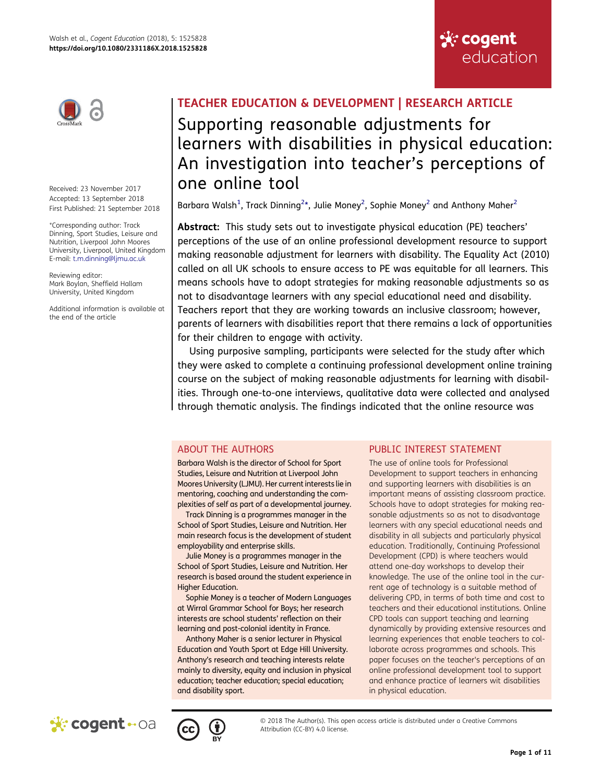

Received: 23 November 2017 Accepted: 13 September 2018 First Published: 21 September 2018

\*Corresponding author: Track Dinning, Sport Studies, Leisure and Nutrition, Liverpool John Moores University, Liverpool, United Kingdom E-mail: t.m.dinning@ljmu.ac.uk

Reviewing editor: Mark Boylan, Sheffield Hallam University, United Kingdom

Additional information is available at the end of the article

# TEACHER EDUCATION & DEVELOPMENT | RESEARCH ARTICLE Supporting reasonable adjustments for learners with disabilities in physical education: An investigation into teacher's perceptions of one online tool

<span id="page-1-0"></span>Barbara Walsh $^1$ , Track Dinning $^{2\star}$  $^{2\star}$  $^{2\star}$ , Julie Money $^2$ , Sophie Money $^2$  and Anthony Maher $^2$ 

Abstract: This study sets out to investigate physical education (PE) teachers' perceptions of the use of an online professional development resource to support making reasonable adjustment for learners with disability. The Equality Act (2010) called on all UK schools to ensure access to PE was equitable for all learners. This means schools have to adopt strategies for making reasonable adjustments so as not to disadvantage learners with any special educational need and disability. Teachers report that they are working towards an inclusive classroom; however, parents of learners with disabilities report that there remains a lack of opportunities for their children to engage with activity.

Using purposive sampling, participants were selected for the study after which they were asked to complete a continuing professional development online training course on the subject of making reasonable adjustments for learning with disabilities. Through one-to-one interviews, qualitative data were collected and analysed through thematic analysis. The findings indicated that the online resource was

# ABOUT THE AUTHORS

Barbara Walsh is the director of School for Sport Studies, Leisure and Nutrition at Liverpool John Moores University (LJMU). Her current interests lie in mentoring, coaching and understanding the complexities of self as part of a developmental journey.

Track Dinning is a programmes manager in the School of Sport Studies, Leisure and Nutrition. Her main research focus is the development of student employability and enterprise skills.

Julie Money is a programmes manager in the School of Sport Studies, Leisure and Nutrition. Her research is based around the student experience in Higher Education.

Sophie Money is a teacher of Modern Languages at Wirral Grammar School for Boys; her research interests are school students' reflection on their learning and post-colonial identity in France.

Anthony Maher is a senior lecturer in Physical Education and Youth Sport at Edge Hill University. Anthony's research and teaching interests relate mainly to diversity, equity and inclusion in physical education; teacher education; special education; and disability sport.

## PUBLIC INTEREST STATEMENT

**Sk: cogent** 

education

The use of online tools for Professional Development to support teachers in enhancing and supporting learners with disabilities is an important means of assisting classroom practice. Schools have to adopt strategies for making reasonable adjustments so as not to disadvantage learners with any special educational needs and disability in all subjects and particularly physical education. Traditionally, Continuing Professional Development (CPD) is where teachers would attend one-day workshops to develop their knowledge. The use of the online tool in the current age of technology is a suitable method of delivering CPD, in terms of both time and cost to teachers and their educational institutions. Online CPD tools can support teaching and learning dynamically by providing extensive resources and learning experiences that enable teachers to collaborate across programmes and schools. This paper focuses on the teacher's perceptions of an online professional development tool to support and enhance practice of learners wit disabilities in physical education.





© 2018 The Author(s). This open access article is distributed under a Creative Commons Attribution (CC-BY) 4.0 license.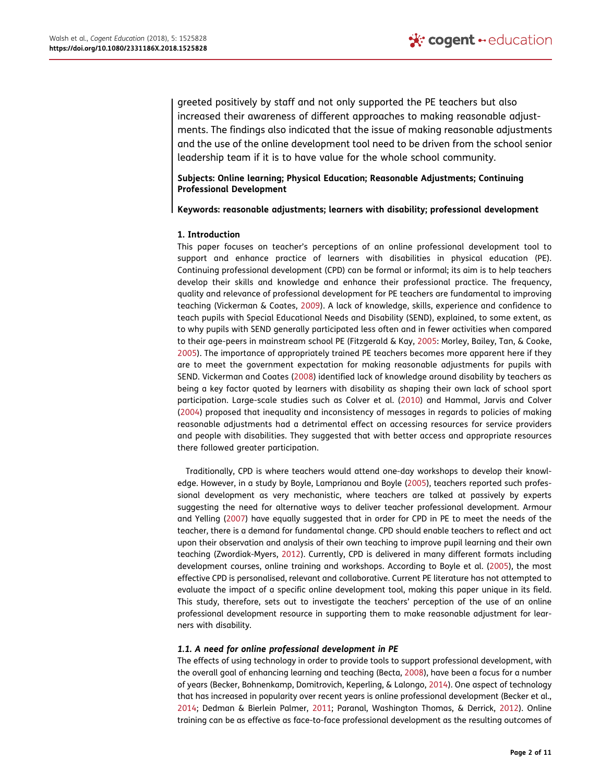greeted positively by staff and not only supported the PE teachers but also increased their awareness of different approaches to making reasonable adjustments. The findings also indicated that the issue of making reasonable adjustments and the use of the online development tool need to be driven from the school senior leadership team if it is to have value for the whole school community.

## Subjects: Online learning; Physical Education; Reasonable Adjustments; Continuing Professional Development

Keywords: reasonable adjustments; learners with disability; professional development

## 1. Introduction

<span id="page-2-9"></span><span id="page-2-6"></span>This paper focuses on teacher's perceptions of an online professional development tool to support and enhance practice of learners with disabilities in physical education (PE). Continuing professional development (CPD) can be formal or informal; its aim is to help teachers develop their skills and knowledge and enhance their professional practice. The frequency, quality and relevance of professional development for PE teachers are fundamental to improving teaching (Vickerman & Coates, [2009\)](#page-11-0). A lack of knowledge, skills, experience and confidence to teach pupils with Special Educational Needs and Disability (SEND), explained, to some extent, as to why pupils with SEND generally participated less often and in fewer activities when compared to their age-peers in mainstream school PE (Fitzgerald & Kay, [2005](#page-10-2): Morley, Bailey, Tan, & Cooke, [2005\)](#page-10-3). The importance of appropriately trained PE teachers becomes more apparent here if they are to meet the government expectation for making reasonable adjustments for pupils with SEND. Vickerman and Coates [\(2008\)](#page-11-1) identified lack of knowledge around disability by teachers as being a key factor quoted by learners with disability as shaping their own lack of school sport participation. Large-scale studies such as Colver et al. [\(2010](#page-10-4)) and Hammal, Jarvis and Colver ([2004\)](#page-10-5) proposed that inequality and inconsistency of messages in regards to policies of making reasonable adjustments had a detrimental effect on accessing resources for service providers and people with disabilities. They suggested that with better access and appropriate resources there followed greater participation.

<span id="page-2-10"></span><span id="page-2-8"></span><span id="page-2-7"></span><span id="page-2-4"></span><span id="page-2-0"></span>Traditionally, CPD is where teachers would attend one-day workshops to develop their knowl-edge. However, in a study by Boyle, Lamprianou and Boyle [\(2005](#page-10-6)), teachers reported such professional development as very mechanistic, where teachers are talked at passively by experts suggesting the need for alternative ways to deliver teacher professional development. Armour and Yelling [\(2007\)](#page-10-7) have equally suggested that in order for CPD in PE to meet the needs of the teacher, there is a demand for fundamental change. CPD should enable teachers to reflect and act upon their observation and analysis of their own teaching to improve pupil learning and their own teaching (Zwordiak-Myers, [2012](#page-11-2)). Currently, CPD is delivered in many different formats including development courses, online training and workshops. According to Boyle et al. [\(2005\)](#page-10-6), the most effective CPD is personalised, relevant and collaborative. Current PE literature has not attempted to evaluate the impact of a specific online development tool, making this paper unique in its field. This study, therefore, sets out to investigate the teachers' perception of the use of an online professional development resource in supporting them to make reasonable adjustment for learners with disability.

## <span id="page-2-3"></span>1.1. A need for online professional development in PE

<span id="page-2-5"></span><span id="page-2-2"></span><span id="page-2-1"></span>The effects of using technology in order to provide tools to support professional development, with the overall goal of enhancing learning and teaching (Becta, [2008\)](#page-10-8), have been a focus for a number of years (Becker, Bohnenkamp, Domitrovich, Keperling, & Lalongo, [2014](#page-10-9)). One aspect of technology that has increased in popularity over recent years is online professional development (Becker et al., [2014](#page-10-9); Dedman & Bierlein Palmer, [2011](#page-10-10); Paranal, Washington Thomas, & Derrick, [2012](#page-10-11)). Online training can be as effective as face-to-face professional development as the resulting outcomes of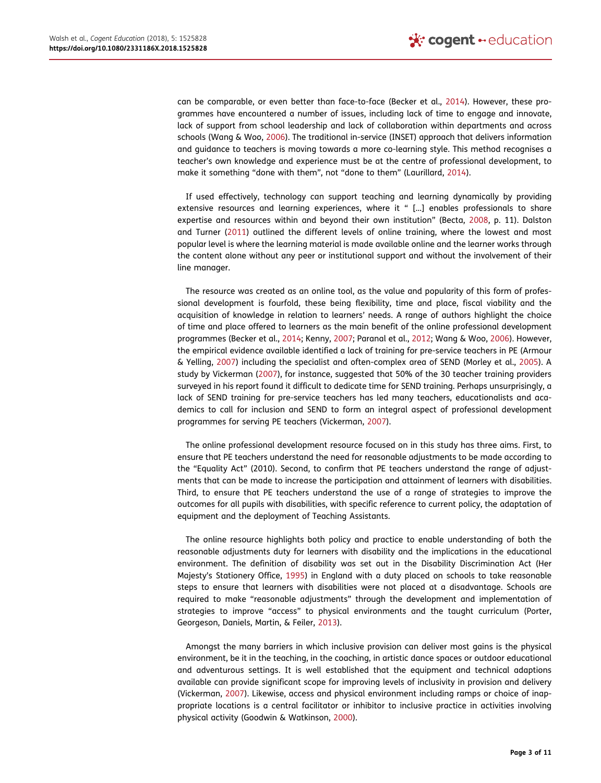can be comparable, or even better than face-to-face (Becker et al., [2014](#page-10-9)). However, these programmes have encountered a number of issues, including lack of time to engage and innovate, lack of support from school leadership and lack of collaboration within departments and across schools (Wang & Woo, [2006](#page-11-3)). The traditional in-service (INSET) approach that delivers information and guidance to teachers is moving towards a more co-learning style. This method recognises a teacher's own knowledge and experience must be at the centre of professional development, to make it something "done with them", not "done to them" (Laurillard, [2014\)](#page-10-12).

<span id="page-3-4"></span><span id="page-3-0"></span>If used effectively, technology can support teaching and learning dynamically by providing extensive resources and learning experiences, where it " […] enables professionals to share expertise and resources within and beyond their own institution" (Becta, [2008](#page-10-8), p. 11). Dalston and Turner ([2011\)](#page-10-13) outlined the different levels of online training, where the lowest and most popular level is where the learning material is made available online and the learner works through the content alone without any peer or institutional support and without the involvement of their line manager.

<span id="page-3-3"></span>The resource was created as an online tool, as the value and popularity of this form of professional development is fourfold, these being flexibility, time and place, fiscal viability and the acquisition of knowledge in relation to learners' needs. A range of authors highlight the choice of time and place offered to learners as the main benefit of the online professional development programmes (Becker et al., [2014;](#page-10-9) Kenny, [2007;](#page-10-14) Paranal et al., [2012](#page-10-11); Wang & Woo, [2006\)](#page-11-3). However, the empirical evidence available identified a lack of training for pre-service teachers in PE (Armour & Yelling, [2007](#page-10-7)) including the specialist and often-complex area of SEND (Morley et al., [2005](#page-10-3)). A study by Vickerman [\(2007](#page-11-4)), for instance, suggested that 50% of the 30 teacher training providers surveyed in his report found it difficult to dedicate time for SEND training. Perhaps unsurprisingly, a lack of SEND training for pre-service teachers has led many teachers, educationalists and academics to call for inclusion and SEND to form an integral aspect of professional development programmes for serving PE teachers (Vickerman, [2007\)](#page-11-4).

The online professional development resource focused on in this study has three aims. First, to ensure that PE teachers understand the need for reasonable adjustments to be made according to the "Equality Act" (2010). Second, to confirm that PE teachers understand the range of adjustments that can be made to increase the participation and attainment of learners with disabilities. Third, to ensure that PE teachers understand the use of a range of strategies to improve the outcomes for all pupils with disabilities, with specific reference to current policy, the adaptation of equipment and the deployment of Teaching Assistants.

<span id="page-3-2"></span>The online resource highlights both policy and practice to enable understanding of both the reasonable adjustments duty for learners with disability and the implications in the educational environment. The definition of disability was set out in the Disability Discrimination Act (Her Majesty's Stationery Office, [1995](#page-10-15)) in England with a duty placed on schools to take reasonable steps to ensure that learners with disabilities were not placed at a disadvantage. Schools are required to make "reasonable adjustments" through the development and implementation of strategies to improve "access" to physical environments and the taught curriculum (Porter, Georgeson, Daniels, Martin, & Feiler, [2013\)](#page-10-16).

<span id="page-3-6"></span><span id="page-3-5"></span><span id="page-3-1"></span>Amongst the many barriers in which inclusive provision can deliver most gains is the physical environment, be it in the teaching, in the coaching, in artistic dance spaces or outdoor educational and adventurous settings. It is well established that the equipment and technical adaptions available can provide significant scope for improving levels of inclusivity in provision and delivery (Vickerman, [2007\)](#page-11-4). Likewise, access and physical environment including ramps or choice of inappropriate locations is a central facilitator or inhibitor to inclusive practice in activities involving physical activity (Goodwin & Watkinson, [2000\)](#page-10-17).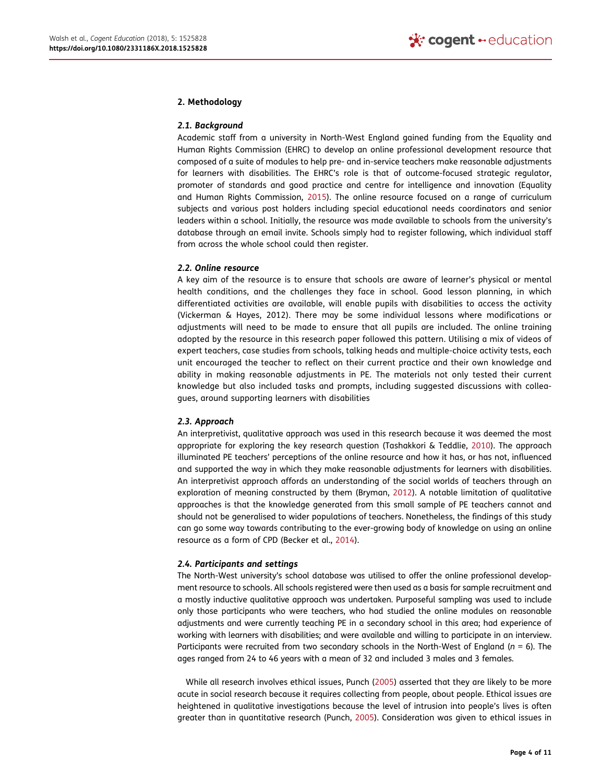### 2. Methodology

#### 2.1. Background

<span id="page-4-1"></span>Academic staff from a university in North-West England gained funding from the Equality and Human Rights Commission (EHRC) to develop an online professional development resource that composed of a suite of modules to help pre- and in-service teachers make reasonable adjustments for learners with disabilities. The EHRC's role is that of outcome-focused strategic regulator, promoter of standards and good practice and centre for intelligence and innovation (Equality and Human Rights Commission, [2015](#page-10-18)). The online resource focused on a range of curriculum subjects and various post holders including special educational needs coordinators and senior leaders within a school. Initially, the resource was made available to schools from the university's database through an email invite. Schools simply had to register following, which individual staff from across the whole school could then register.

#### 2.2. Online resource

A key aim of the resource is to ensure that schools are aware of learner's physical or mental health conditions, and the challenges they face in school. Good lesson planning, in which differentiated activities are available, will enable pupils with disabilities to access the activity (Vickerman & Hayes, 2012). There may be some individual lessons where modifications or adjustments will need to be made to ensure that all pupils are included. The online training adopted by the resource in this research paper followed this pattern. Utilising a mix of videos of expert teachers, case studies from schools, talking heads and multiple-choice activity tests, each unit encouraged the teacher to reflect on their current practice and their own knowledge and ability in making reasonable adjustments in PE. The materials not only tested their current knowledge but also included tasks and prompts, including suggested discussions with colleagues, around supporting learners with disabilities

#### 2.3. Approach

<span id="page-4-3"></span><span id="page-4-0"></span>An interpretivist, qualitative approach was used in this research because it was deemed the most appropriate for exploring the key research question (Tashakkori & Teddlie, [2010](#page-11-5)). The approach illuminated PE teachers' perceptions of the online resource and how it has, or has not, influenced and supported the way in which they make reasonable adjustments for learners with disabilities. An interpretivist approach affords an understanding of the social worlds of teachers through an exploration of meaning constructed by them (Bryman, [2012\)](#page-10-19). A notable limitation of qualitative approaches is that the knowledge generated from this small sample of PE teachers cannot and should not be generalised to wider populations of teachers. Nonetheless, the findings of this study can go some way towards contributing to the ever-growing body of knowledge on using an online resource as a form of CPD (Becker et al., [2014\)](#page-10-9).

#### 2.4. Participants and settings

The North-West university's school database was utilised to offer the online professional development resource to schools. All schools registered were then used as a basis for sample recruitment and a mostly inductive qualitative approach was undertaken. Purposeful sampling was used to include only those participants who were teachers, who had studied the online modules on reasonable adjustments and were currently teaching PE in a secondary school in this area; had experience of working with learners with disabilities; and were available and willing to participate in an interview. Participants were recruited from two secondary schools in the North-West of England ( $n = 6$ ). The ages ranged from 24 to 46 years with a mean of 32 and included 3 males and 3 females.

<span id="page-4-2"></span>While all research involves ethical issues, Punch [\(2005\)](#page-11-6) asserted that they are likely to be more acute in social research because it requires collecting from people, about people. Ethical issues are heightened in qualitative investigations because the level of intrusion into people's lives is often greater than in quantitative research (Punch, [2005\)](#page-11-6). Consideration was given to ethical issues in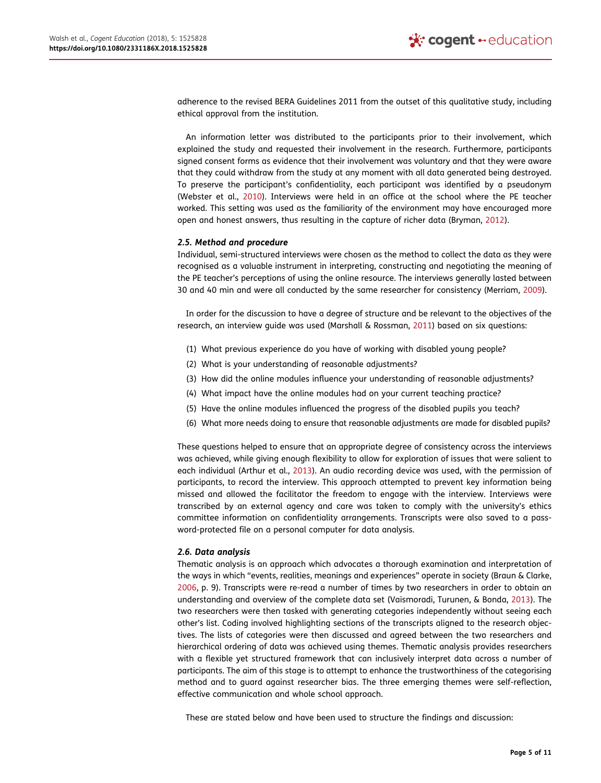adherence to the revised BERA Guidelines 2011 from the outset of this qualitative study, including ethical approval from the institution.

An information letter was distributed to the participants prior to their involvement, which explained the study and requested their involvement in the research. Furthermore, participants signed consent forms as evidence that their involvement was voluntary and that they were aware that they could withdraw from the study at any moment with all data generated being destroyed. To preserve the participant's confidentiality, each participant was identified by a pseudonym (Webster et al., [2010\)](#page-11-7). Interviews were held in an office at the school where the PE teacher worked. This setting was used as the familiarity of the environment may have encouraged more open and honest answers, thus resulting in the capture of richer data (Bryman, [2012\)](#page-10-19).

#### <span id="page-5-5"></span>2.5. Method and procedure

Individual, semi-structured interviews were chosen as the method to collect the data as they were recognised as a valuable instrument in interpreting, constructing and negotiating the meaning of the PE teacher's perceptions of using the online resource. The interviews generally lasted between 30 and 40 min and were all conducted by the same researcher for consistency (Merriam, [2009\)](#page-10-20).

<span id="page-5-3"></span><span id="page-5-2"></span>In order for the discussion to have a degree of structure and be relevant to the objectives of the research, an interview guide was used (Marshall & Rossman, [2011](#page-10-21)) based on six questions:

- (1) What previous experience do you have of working with disabled young people?
- (2) What is your understanding of reasonable adjustments?
- (3) How did the online modules influence your understanding of reasonable adjustments?
- (4) What impact have the online modules had on your current teaching practice?
- (5) Have the online modules influenced the progress of the disabled pupils you teach?
- (6) What more needs doing to ensure that reasonable adjustments are made for disabled pupils?

<span id="page-5-0"></span>These questions helped to ensure that an appropriate degree of consistency across the interviews was achieved, while giving enough flexibility to allow for exploration of issues that were salient to each individual (Arthur et al., [2013](#page-10-22)). An audio recording device was used, with the permission of participants, to record the interview. This approach attempted to prevent key information being missed and allowed the facilitator the freedom to engage with the interview. Interviews were transcribed by an external agency and care was taken to comply with the university's ethics committee information on confidentiality arrangements. Transcripts were also saved to a password-protected file on a personal computer for data analysis.

#### 2.6. Data analysis

<span id="page-5-4"></span><span id="page-5-1"></span>Thematic analysis is an approach which advocates a thorough examination and interpretation of the ways in which "events, realities, meanings and experiences" operate in society (Braun & Clarke, [2006](#page-10-23), p. 9). Transcripts were re-read a number of times by two researchers in order to obtain an understanding and overview of the complete data set (Vaismoradi, Turunen, & Bonda, [2013\)](#page-11-8). The two researchers were then tasked with generating categories independently without seeing each other's list. Coding involved highlighting sections of the transcripts aligned to the research objectives. The lists of categories were then discussed and agreed between the two researchers and hierarchical ordering of data was achieved using themes. Thematic analysis provides researchers with a flexible yet structured framework that can inclusively interpret data across a number of participants. The aim of this stage is to attempt to enhance the trustworthiness of the categorising method and to guard against researcher bias. The three emerging themes were self-reflection, effective communication and whole school approach.

These are stated below and have been used to structure the findings and discussion: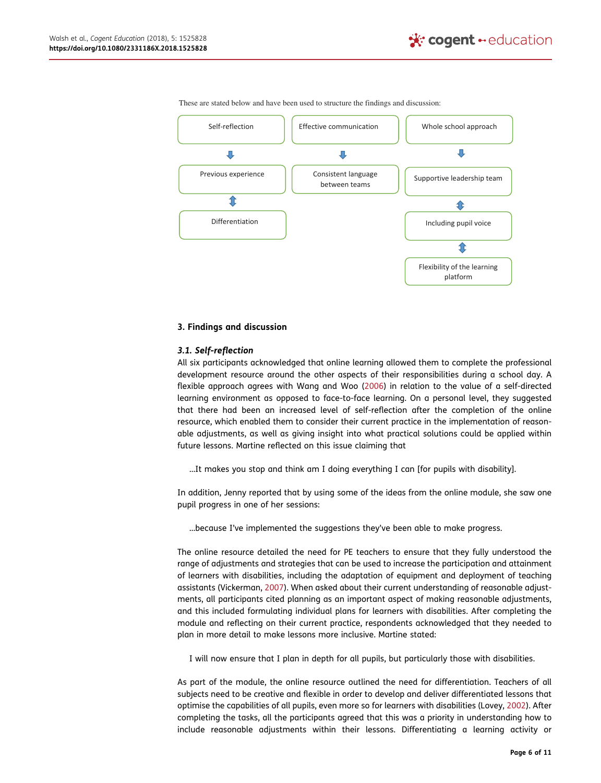

These are stated below and have been used to structure the findings and discussion:

### 3. Findings and discussion

#### 3.1. Self-reflection

All six participants acknowledged that online learning allowed them to complete the professional development resource around the other aspects of their responsibilities during a school day. A flexible approach agrees with Wang and Woo ([2006](#page-11-3)) in relation to the value of a self-directed learning environment as opposed to face-to-face learning. On a personal level, they suggested that there had been an increased level of self-reflection after the completion of the online resource, which enabled them to consider their current practice in the implementation of reasonable adjustments, as well as giving insight into what practical solutions could be applied within future lessons. Martine reflected on this issue claiming that

…It makes you stop and think am I doing everything I can [for pupils with disability].

In addition, Jenny reported that by using some of the ideas from the online module, she saw one pupil progress in one of her sessions:

…because I've implemented the suggestions they've been able to make progress.

The online resource detailed the need for PE teachers to ensure that they fully understood the range of adjustments and strategies that can be used to increase the participation and attainment of learners with disabilities, including the adaptation of equipment and deployment of teaching assistants (Vickerman, [2007\)](#page-11-4). When asked about their current understanding of reasonable adjustments, all participants cited planning as an important aspect of making reasonable adjustments, and this included formulating individual plans for learners with disabilities. After completing the module and reflecting on their current practice, respondents acknowledged that they needed to plan in more detail to make lessons more inclusive. Martine stated:

I will now ensure that I plan in depth for all pupils, but particularly those with disabilities.

<span id="page-6-0"></span>As part of the module, the online resource outlined the need for differentiation. Teachers of all subjects need to be creative and flexible in order to develop and deliver differentiated lessons that optimise the capabilities of all pupils, even more so for learners with disabilities (Lovey, [2002](#page-10-24)). After completing the tasks, all the participants agreed that this was a priority in understanding how to include reasonable adjustments within their lessons. Differentiating a learning activity or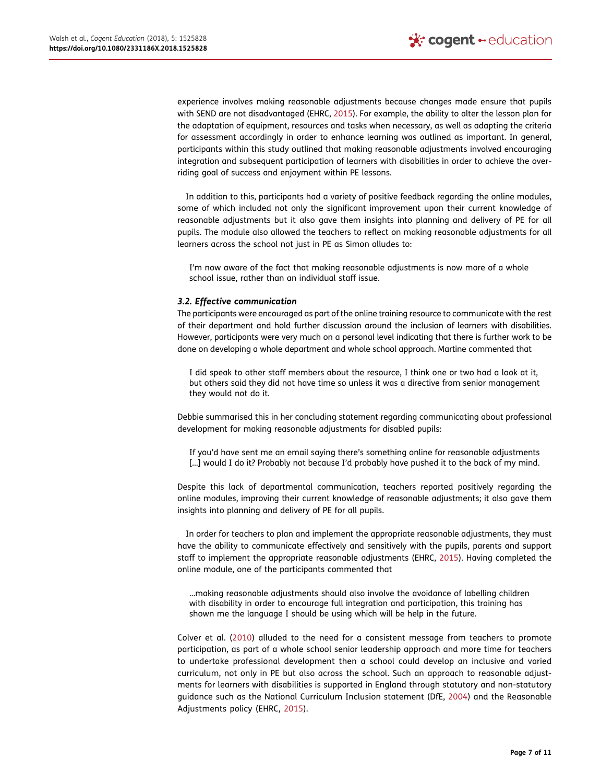experience involves making reasonable adjustments because changes made ensure that pupils with SEND are not disadvantaged (EHRC, [2015\)](#page-10-18). For example, the ability to alter the lesson plan for the adaptation of equipment, resources and tasks when necessary, as well as adapting the criteria for assessment accordingly in order to enhance learning was outlined as important. In general, participants within this study outlined that making reasonable adjustments involved encouraging integration and subsequent participation of learners with disabilities in order to achieve the overriding goal of success and enjoyment within PE lessons.

In addition to this, participants had a variety of positive feedback regarding the online modules, some of which included not only the significant improvement upon their current knowledge of reasonable adjustments but it also gave them insights into planning and delivery of PE for all pupils. The module also allowed the teachers to reflect on making reasonable adjustments for all learners across the school not just in PE as Simon alludes to:

I'm now aware of the fact that making reasonable adjustments is now more of a whole school issue, rather than an individual staff issue.

## 3.2. Effective communication

The participants were encouraged as part of the online training resource to communicate with the rest of their department and hold further discussion around the inclusion of learners with disabilities. However, participants were very much on a personal level indicating that there is further work to be done on developing a whole department and whole school approach. Martine commented that

I did speak to other staff members about the resource, I think one or two had a look at it, but others said they did not have time so unless it was a directive from senior management they would not do it.

Debbie summarised this in her concluding statement regarding communicating about professional development for making reasonable adjustments for disabled pupils:

If you'd have sent me an email saying there's something online for reasonable adjustments […] would I do it? Probably not because I'd probably have pushed it to the back of my mind.

Despite this lack of departmental communication, teachers reported positively regarding the online modules, improving their current knowledge of reasonable adjustments; it also gave them insights into planning and delivery of PE for all pupils.

In order for teachers to plan and implement the appropriate reasonable adjustments, they must have the ability to communicate effectively and sensitively with the pupils, parents and support staff to implement the appropriate reasonable adjustments (EHRC, [2015](#page-10-18)). Having completed the online module, one of the participants commented that

…making reasonable adjustments should also involve the avoidance of labelling children with disability in order to encourage full integration and participation, this training has shown me the language I should be using which will be help in the future.

<span id="page-7-0"></span>Colver et al. ([2010](#page-10-4)) alluded to the need for a consistent message from teachers to promote participation, as part of a whole school senior leadership approach and more time for teachers to undertake professional development then a school could develop an inclusive and varied curriculum, not only in PE but also across the school. Such an approach to reasonable adjustments for learners with disabilities is supported in England through statutory and non-statutory guidance such as the National Curriculum Inclusion statement (DfE, [2004](#page-10-25)) and the Reasonable Adjustments policy (EHRC, [2015\)](#page-10-18).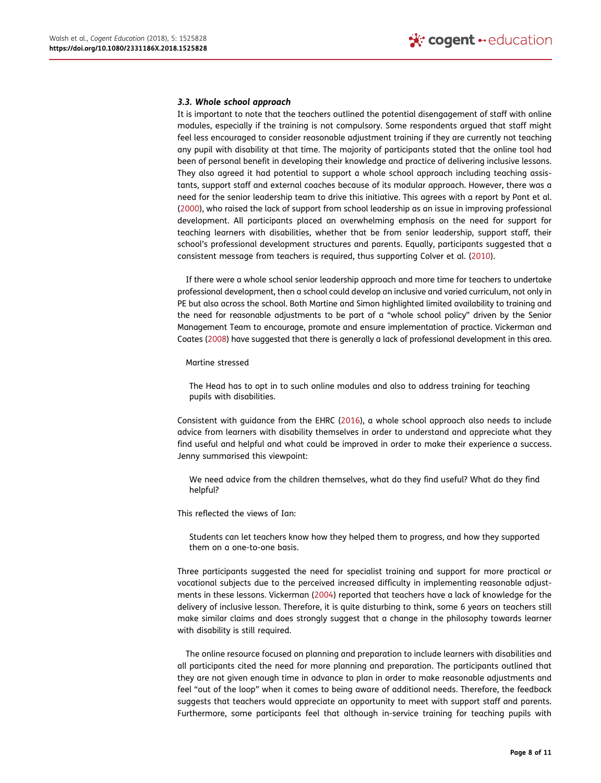#### 3.3. Whole school approach

It is important to note that the teachers outlined the potential disengagement of staff with online modules, especially if the training is not compulsory. Some respondents argued that staff might feel less encouraged to consider reasonable adjustment training if they are currently not teaching any pupil with disability at that time. The majority of participants stated that the online tool had been of personal benefit in developing their knowledge and practice of delivering inclusive lessons. They also agreed it had potential to support a whole school approach including teaching assistants, support staff and external coaches because of its modular approach. However, there was a need for the senior leadership team to drive this initiative. This agrees with a report by Pont et al. ([2000](#page-10-26)), who raised the lack of support from school leadership as an issue in improving professional development. All participants placed an overwhelming emphasis on the need for support for teaching learners with disabilities, whether that be from senior leadership, support staff, their school's professional development structures and parents. Equally, participants suggested that a consistent message from teachers is required, thus supporting Colver et al. [\(2010](#page-10-4)).

<span id="page-8-1"></span>If there were a whole school senior leadership approach and more time for teachers to undertake professional development, then a school could develop an inclusive and varied curriculum, not only in PE but also across the school. Both Martine and Simon highlighted limited availability to training and the need for reasonable adjustments to be part of a "whole school policy" driven by the Senior Management Team to encourage, promote and ensure implementation of practice. Vickerman and Coates ([2008\)](#page-11-1) have suggested that there is generally a lack of professional development in this area.

Martine stressed

The Head has to opt in to such online modules and also to address training for teaching pupils with disabilities.

<span id="page-8-0"></span>Consistent with guidance from the EHRC ([2016](#page-10-27)), a whole school approach also needs to include advice from learners with disability themselves in order to understand and appreciate what they find useful and helpful and what could be improved in order to make their experience a success. Jenny summarised this viewpoint:

We need advice from the children themselves, what do they find useful? What do they find helpful?

This reflected the views of Ian:

Students can let teachers know how they helped them to progress, and how they supported them on a one-to-one basis.

<span id="page-8-2"></span>Three participants suggested the need for specialist training and support for more practical or vocational subjects due to the perceived increased difficulty in implementing reasonable adjustments in these lessons. Vickerman ([2004](#page-11-9)) reported that teachers have a lack of knowledge for the delivery of inclusive lesson. Therefore, it is quite disturbing to think, some 6 years on teachers still make similar claims and does strongly suggest that a change in the philosophy towards learner with disability is still required.

The online resource focused on planning and preparation to include learners with disabilities and all participants cited the need for more planning and preparation. The participants outlined that they are not given enough time in advance to plan in order to make reasonable adjustments and feel "out of the loop" when it comes to being aware of additional needs. Therefore, the feedback suggests that teachers would appreciate an opportunity to meet with support staff and parents. Furthermore, some participants feel that although in-service training for teaching pupils with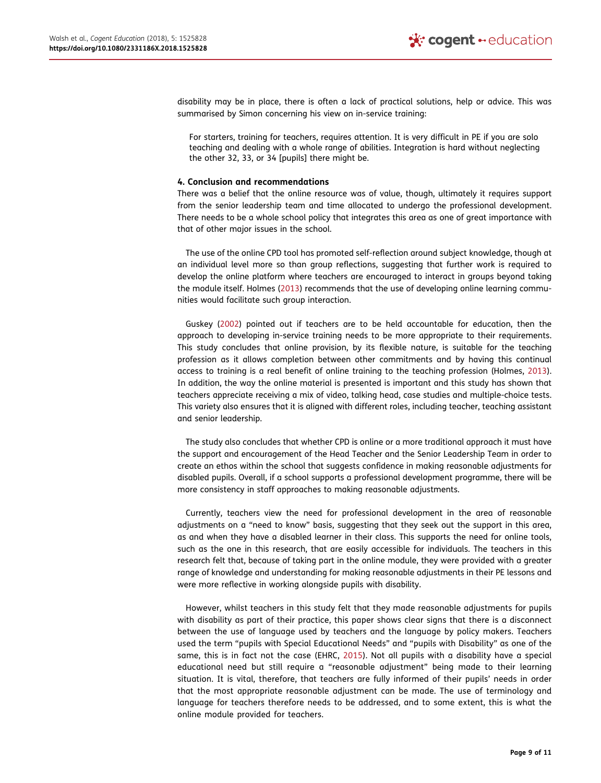disability may be in place, there is often a lack of practical solutions, help or advice. This was summarised by Simon concerning his view on in-service training:

For starters, training for teachers, requires attention. It is very difficult in PE if you are solo teaching and dealing with a whole range of abilities. Integration is hard without neglecting the other 32, 33, or 34 [pupils] there might be.

#### 4. Conclusion and recommendations

There was a belief that the online resource was of value, though, ultimately it requires support from the senior leadership team and time allocated to undergo the professional development. There needs to be a whole school policy that integrates this area as one of great importance with that of other major issues in the school.

The use of the online CPD tool has promoted self-reflection around subject knowledge, though at an individual level more so than group reflections, suggesting that further work is required to develop the online platform where teachers are encouraged to interact in groups beyond taking the module itself. Holmes [\(2013\)](#page-10-28) recommends that the use of developing online learning communities would facilitate such group interaction.

<span id="page-9-1"></span><span id="page-9-0"></span>Guskey [\(2002](#page-10-29)) pointed out if teachers are to be held accountable for education, then the approach to developing in-service training needs to be more appropriate to their requirements. This study concludes that online provision, by its flexible nature, is suitable for the teaching profession as it allows completion between other commitments and by having this continual access to training is a real benefit of online training to the teaching profession (Holmes, [2013\)](#page-10-28). In addition, the way the online material is presented is important and this study has shown that teachers appreciate receiving a mix of video, talking head, case studies and multiple-choice tests. This variety also ensures that it is aligned with different roles, including teacher, teaching assistant and senior leadership.

The study also concludes that whether CPD is online or a more traditional approach it must have the support and encouragement of the Head Teacher and the Senior Leadership Team in order to create an ethos within the school that suggests confidence in making reasonable adjustments for disabled pupils. Overall, if a school supports a professional development programme, there will be more consistency in staff approaches to making reasonable adjustments.

Currently, teachers view the need for professional development in the area of reasonable adjustments on a "need to know" basis, suggesting that they seek out the support in this area, as and when they have a disabled learner in their class. This supports the need for online tools, such as the one in this research, that are easily accessible for individuals. The teachers in this research felt that, because of taking part in the online module, they were provided with a greater range of knowledge and understanding for making reasonable adjustments in their PE lessons and were more reflective in working alongside pupils with disability.

However, whilst teachers in this study felt that they made reasonable adjustments for pupils with disability as part of their practice, this paper shows clear signs that there is a disconnect between the use of language used by teachers and the language by policy makers. Teachers used the term "pupils with Special Educational Needs" and "pupils with Disability" as one of the same, this is in fact not the case (EHRC, [2015\)](#page-10-18). Not all pupils with a disability have a special educational need but still require a "reasonable adjustment" being made to their learning situation. It is vital, therefore, that teachers are fully informed of their pupils' needs in order that the most appropriate reasonable adjustment can be made. The use of terminology and language for teachers therefore needs to be addressed, and to some extent, this is what the online module provided for teachers.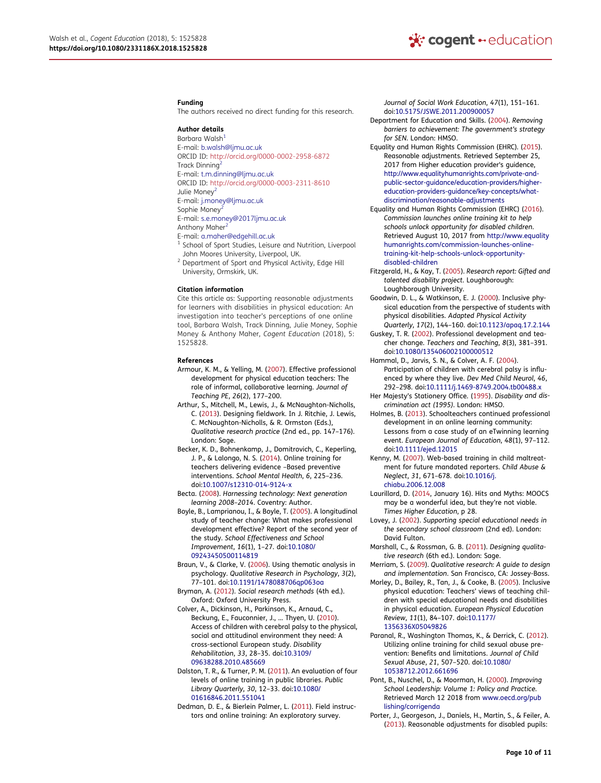#### Funding

The authors received no direct funding for this research.

#### Author details

- <span id="page-10-0"></span>Barbara Walsh<sup>1</sup> E-mail: b.walsh@ljmu.ac.uk ORCID ID: http://orcid.org/0000-0002-2958-6872 Track Dinning[2](#page-1-0) E-mail: t.m.dinning@ljmu.ac.uk ORCID ID: http://orcid.org/0000-0003-2311-8610 Julie Money<sup>2</sup> E-mail: j.money@ljmu.ac.uk Sophie Money<sup>2</sup> E-mail: s.e.money@2017ljmu.ac.uk Anthony Maher<sup>[2](#page-1-0)</sup> E-mail: a.maher@edgehill.ac.uk School of Sport Studies, Leisure and Nutrition, Liverpool
- <span id="page-10-1"></span>John Moores University, Liverpool, UK.
- <sup>2</sup> Department of Sport and Physical Activity, Edge Hill University, Ormskirk, UK.

#### Citation information

Cite this article as: Supporting reasonable adjustments for learners with disabilities in physical education: An investigation into teacher's perceptions of one online tool, Barbara Walsh, Track Dinning, Julie Money, Sophie Money & Anthony Maher, Cogent Education (2018), 5: 1525828.

#### References

- <span id="page-10-7"></span>Armour, K. M., & Yelling, M. [\(2007](#page-2-0)). Effective professional development for physical education teachers: The role of informal, collaborative learning. Journal of Teaching PE, 26(2), 177–200.
- <span id="page-10-22"></span>Arthur, S., Mitchell, M., Lewis, J., & McNaughton-Nicholls, C. [\(2013](#page-5-0)). Designing fieldwork. In J. Ritchie, J. Lewis, C. McNaughton-Nicholls, & R. Ormston (Eds.), Qualitative research practice (2nd ed., pp. 147–176). London: Sage.
- <span id="page-10-9"></span>Becker, K. D., Bohnenkamp, J., Domitrovich, C., Keperling, J. P., & Lalongo, N. S. ([2014\)](#page-2-1). Online training for teachers delivering evidence –Based preventive interventions. School Mental Health, 6, 225–236. doi:[10.1007/s12310-014-9124-x](https://doi.org/10.1007/s12310-014-9124-x)
- <span id="page-10-8"></span>Becta. [\(2008](#page-2-2)). Harnessing technology: Next generation learning 2008–2014. Coventry: Author.
- <span id="page-10-6"></span>Boyle, B., Lamprianou, I., & Boyle, T. ([2005](#page-2-3)). A longitudinal study of teacher change: What makes professional development effective? Report of the second year of the study. School Effectiveness and School Improvement, 16(1), 1–27. doi:[10.1080/](https://doi.org/10.1080/09243450500114819) [09243450500114819](https://doi.org/10.1080/09243450500114819)
- <span id="page-10-23"></span>Braun, V., & Clarke, V. ([2006\)](#page-5-1). Using thematic analysis in psychology. Qualitative Research in Psychology, 3(2), 77–101. doi:[10.1191/1478088706qp063oa](https://doi.org/10.1191/1478088706qp063oa)
- <span id="page-10-19"></span>Bryman, A. [\(2012](#page-4-0)). Social research methods (4th ed.). Oxford: Oxford University Press.
- <span id="page-10-4"></span>Colver, A., Dickinson, H., Parkinson, K., Arnaud, C., Beckung, E., Fauconnier, J., … Thyen, U. ([2010\)](#page-2-4). Access of children with cerebral palsy to the physical, social and attitudinal environment they need: A cross-sectional European study. Disability Rehabilitation, 33, 28–35. doi:[10.3109/](https://doi.org/10.3109/09638288.2010.485669) [09638288.2010.485669](https://doi.org/10.3109/09638288.2010.485669)
- <span id="page-10-13"></span>Dalston, T. R., & Turner, P. M. ([2011\)](#page-3-0). An evaluation of four levels of online training in public libraries. Public Library Quarterly, 30, 12–33. doi:[10.1080/](https://doi.org/10.1080/01616846.2011.551041) [01616846.2011.551041](https://doi.org/10.1080/01616846.2011.551041)
- <span id="page-10-10"></span>Dedman, D. E., & Bierlein Palmer, L. ([2011\)](#page-2-5). Field instructors and online training: An exploratory survey.

Journal of Social Work Education, 47(1), 151–161. doi:[10.5175/JSWE.2011.200900057](https://doi.org/10.5175/JSWE.2011.200900057)

- <span id="page-10-25"></span>Department for Education and Skills. [\(2004](#page-7-0)). Removing barriers to achievement: The government's strategy for SEN. London: HMSO.
- <span id="page-10-18"></span>Equality and Human Rights Commission (EHRC). [\(2015](#page-4-1)). Reasonable adjustments. Retrieved September 25, 2017 from Higher education provider's guidence, [http://www.equalityhumanrights.com/private-and](http://www.equalityhumanrights.com/private-and-public-sector-guidance/education-providers/higher-education-providers-guidance/key-concepts/what-discrimination/reasonable-adjustments)[public-sector-guidance/education-providers/higher](http://www.equalityhumanrights.com/private-and-public-sector-guidance/education-providers/higher-education-providers-guidance/key-concepts/what-discrimination/reasonable-adjustments)[education-providers-guidance/key-concepts/what](http://www.equalityhumanrights.com/private-and-public-sector-guidance/education-providers/higher-education-providers-guidance/key-concepts/what-discrimination/reasonable-adjustments)[discrimination/reasonable-adjustments](http://www.equalityhumanrights.com/private-and-public-sector-guidance/education-providers/higher-education-providers-guidance/key-concepts/what-discrimination/reasonable-adjustments)
- <span id="page-10-27"></span>Equality and Human Rights Commission (EHRC) [\(2016](#page-8-0)). Commission launches online training kit to help schools unlock opportunity for disabled children. Retrieved August 10, 2017 from [http://www.equality](http://www.equalityhumanrights.com/commission-launches-online-training-kit-help-schools-unlock-opportunity-disabled-children) [humanrights.com/commission-launches-online](http://www.equalityhumanrights.com/commission-launches-online-training-kit-help-schools-unlock-opportunity-disabled-children)[training-kit-help-schools-unlock-opportunity](http://www.equalityhumanrights.com/commission-launches-online-training-kit-help-schools-unlock-opportunity-disabled-children)[disabled-children](http://www.equalityhumanrights.com/commission-launches-online-training-kit-help-schools-unlock-opportunity-disabled-children)
- <span id="page-10-2"></span>Fitzgerald, H., & Kay, T. [\(2005](#page-2-6)). Research report: Gifted and talented disability project. Loughborough: Loughborough University.
- <span id="page-10-17"></span>Goodwin, D. L., & Watkinson, E. J. [\(2000\)](#page-3-1). Inclusive physical education from the perspective of students with physical disabilities. Adapted Physical Activity Quarterly, 17(2), 144–160. doi:[10.1123/apaq.17.2.144](https://doi.org/10.1123/apaq.17.2.144)
- <span id="page-10-29"></span>Guskey, T. R. ([2002\)](#page-9-0). Professional development and teacher change. Teachers and Teaching, 8(3), 381–391. doi:[10.1080/135406002100000512](https://doi.org/10.1080/135406002100000512)
- <span id="page-10-5"></span>Hammal, D., Jarvis, S. N., & Colver, A. F. ([2004\)](#page-2-7). Participation of children with cerebral palsy is influenced by where they live. Dev Med Child Neurol, 46, 292–298. doi:[10.1111/j.1469-8749.2004.tb00488.x](https://doi.org/10.1111/j.1469-8749.2004.tb00488.x)
- <span id="page-10-15"></span>Her Majesty's Stationery Office. ([1995\)](#page-3-2). Disability and discrimination act (1995). London: HMSO.
- <span id="page-10-28"></span>Holmes, B. [\(2013](#page-9-1)). Schoolteachers continued professional development in an online learning community: Lessons from a case study of an eTwinning learning event. European Journal of Education, 48(1), 97–112. doi:[10.1111/ejed.12015](https://doi.org/10.1111/ejed.12015)
- <span id="page-10-14"></span>Kenny, M. ([2007\)](#page-3-3). Web-based training in child maltreatment for future mandated reporters. Child Abuse & Neglect, 31, 671–678. doi:[10.1016/j.](https://doi.org/10.1016/j.chiabu.2006.12.008) [chiabu.2006.12.008](https://doi.org/10.1016/j.chiabu.2006.12.008)
- <span id="page-10-12"></span>Laurillard, D. [\(2014](#page-3-4), January 16). Hits and Myths: MOOCS may be a wonderful idea, but they're not viable. Times Higher Education, p 28.
- <span id="page-10-24"></span>Lovey, J. [\(2002](#page-6-0)). Supporting special educational needs in the secondary school classroom (2nd ed). London: David Fulton.
- <span id="page-10-21"></span>Marshall, C., & Rossman, G. B. ([2011\)](#page-5-2). Designing qualitative research (6th ed.). London: Sage.
- <span id="page-10-20"></span>Merriam, S. [\(2009](#page-5-3)). Qualitative research: A guide to design and implementation. San Francisco, CA: Jossey-Bass.
- <span id="page-10-3"></span>Morley, D., Bailey, R., Tan, J., & Cooke, B. ([2005\)](#page-2-6). Inclusive physical education: Teachers' views of teaching children with special educational needs and disabilities in physical education. European Physical Education Review, 11(1), 84–107. doi:[10.1177/](https://doi.org/10.1177/1356336X05049826) [1356336X05049826](https://doi.org/10.1177/1356336X05049826)

<span id="page-10-11"></span>Paranal, R., Washington Thomas, K., & Derrick, C. [\(2012](#page-2-5)). Utilizing online training for child sexual abuse prevention: Benefits and limitations. Journal of Child Sexual Abuse, 21, 507–520. doi:[10.1080/](https://doi.org/10.1080/10538712.2012.661696) [10538712.2012.661696](https://doi.org/10.1080/10538712.2012.661696)

- <span id="page-10-26"></span>Pont, B., Nuschel, D., & Moorman, H. [\(2000](#page-8-1)). Improving School Leadership: Volume 1: Policy and Practice. Retrieved March 12 2018 from [www.oecd.org/pub](http://www.oecd.org/publishing/corrigenda) [lishing/corrigenda](http://www.oecd.org/publishing/corrigenda)
- <span id="page-10-16"></span>Porter, J., Georgeson, J., Daniels, H., Martin, S., & Feiler, A. ([2013\)](#page-3-5). Reasonable adjustments for disabled pupils: